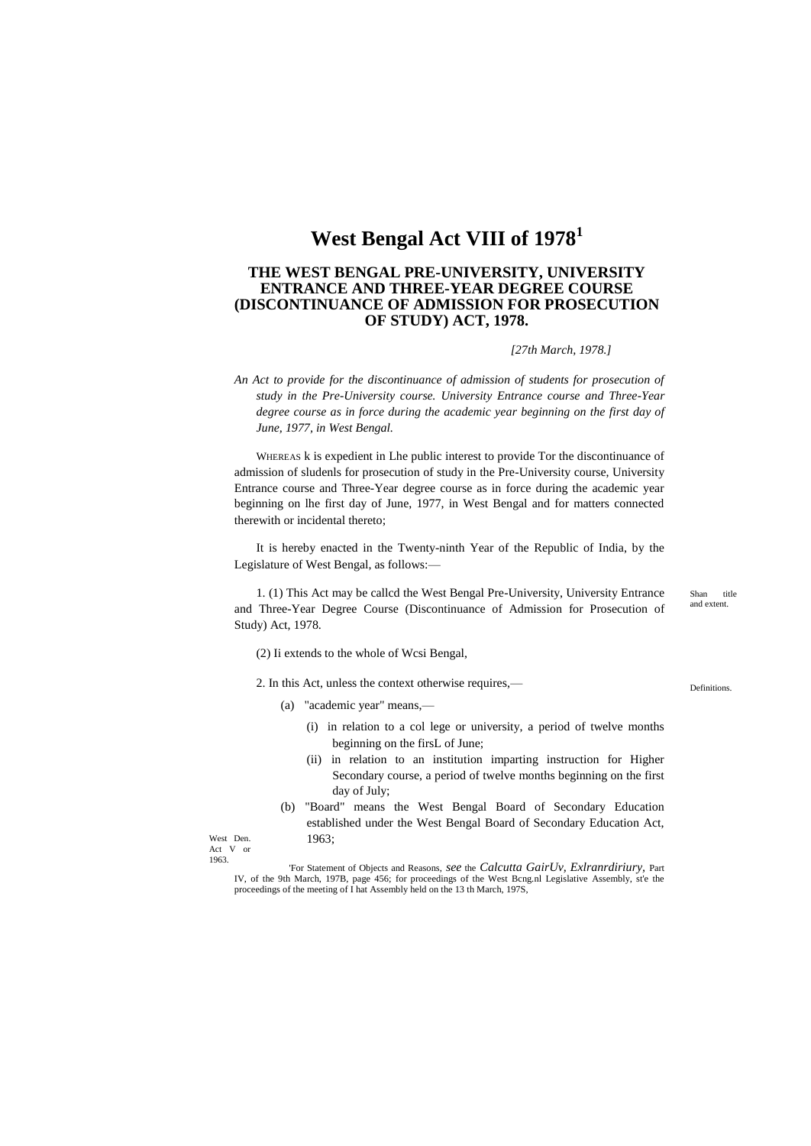# **West Bengal Act VIII of 1978<sup>1</sup>**

## **THE WEST BENGAL PRE-UNIVERSITY, UNIVERSITY ENTRANCE AND THREE-YEAR DEGREE COURSE (DISCONTINUANCE OF ADMISSION FOR PROSECUTION OF STUDY) ACT, 1978.**

*[27th March, 1978.]*

*An Act to provide for the discontinuance of admission of students for prosecution of study in the Pre-University course. University Entrance course and Three-Year degree course as in force during the academic year beginning on the first day of June, 1977, in West Bengal.*

WHEREAS k is expedient in Lhe public interest to provide Tor the discontinuance of admission of sludenls for prosecution of study in the Pre-University course, University Entrance course and Three-Year degree course as in force during the academic year beginning on lhe first day of June, 1977, in West Bengal and for matters connected therewith or incidental thereto;

It is hereby enacted in the Twenty-ninth Year of the Republic of India, by the Legislature of West Bengal, as follows:—

1. (1) This Act may be callcd the West Bengal Pre-University, University Entrance and Three-Year Degree Course (Discontinuance of Admission for Prosecution of Study) Act, 1978.

(2) Ii extends to the whole of Wcsi Bengal,

2. In this Act, unless the context otherwise requires,—

- (a) "academic year" means,—
	- (i) in relation to a col lege or university, a period of twelve months beginning on the firsL of June;
	- (ii) in relation to an institution imparting instruction for Higher Secondary course, a period of twelve months beginning on the first day of July;
- (b) "Board" means the West Bengal Board of Secondary Education established under the West Bengal Board of Secondary Education Act, 1963;

West Den. Act V or 1963.

'For Statement of Objects and Reasons, *see* the *Calcutta GairUv, Exlranrdiriury,* Part IV, of the 9th March, 197B, page 456; for proceedings of the West Bcng.nl Legislative Assembly, st'e the proceedings of the meeting of I hat Assembly held on the 13 th March, 197S,

Definitions.

Shan title and extent.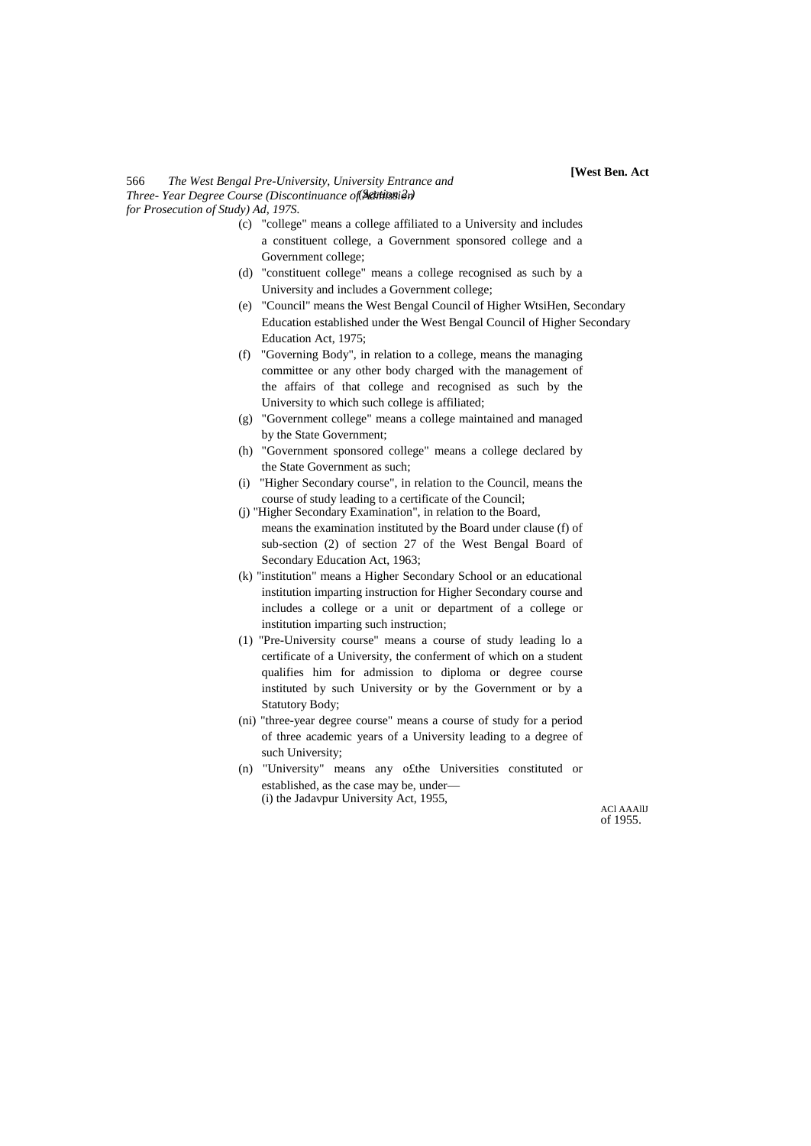- (c) "college" means a college affiliated to a University and includes a constituent college, a Government sponsored college and a Government college;
- (d) "constituent college" means a college recognised as such by a University and includes a Government college;
- (e) "Council" means the West Bengal Council of Higher WtsiHen, Secondary Education established under the West Bengal Council of Higher Secondary Education Act, 1975;
- (f) "Governing Body", in relation to a college, means the managing committee or any other body charged with the management of the affairs of that college and recognised as such by the University to which such college is affiliated;
- (g) "Government college" means a college maintained and managed by the State Government;
- (h) "Government sponsored college" means a college declared by the State Government as such;
- (i) "Higher Secondary course", in relation to the Council, means the course of study leading to a certificate of the Council;
- (j) "Higher Secondary Examination", in relation to the Board, means the examination instituted by the Board under clause (f) of sub-section (2) of section 27 of the West Bengal Board of Secondary Education Act, 1963;
- (k) "institution" means a Higher Secondary School or an educational institution imparting instruction for Higher Secondary course and includes a college or a unit or department of a college or institution imparting such instruction;
- (1) "Pre-University course" means a course of study leading lo a certificate of a University, the conferment of which on a student qualifies him for admission to diploma or degree course instituted by such University or by the Government or by a Statutory Body;
- (ni) "three-year degree course" means a course of study for a period of three academic years of a University leading to a degree of such University;
- (n) "University" means any o£the Universities constituted or established, as the case may be, under— (i) the Jadavpur University Act, 1955,

ACl AAAllJ of 1955.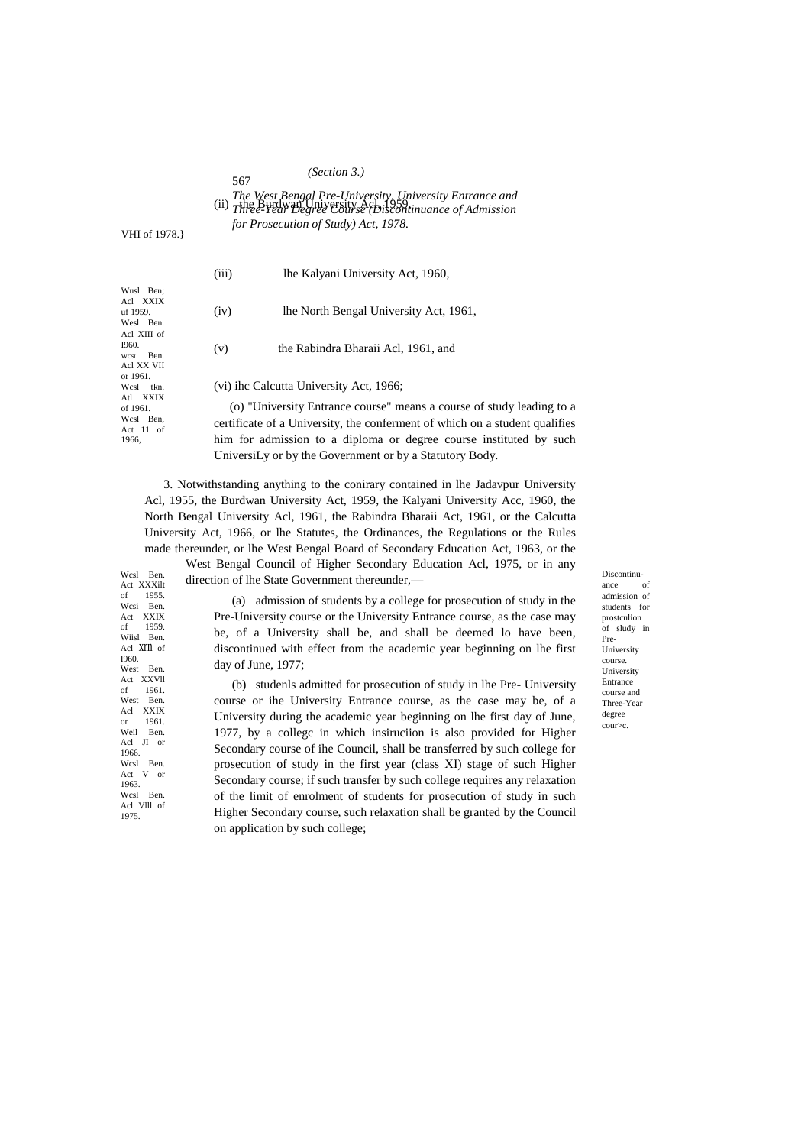### *(Section 3.)*

567

#### *The West Bengal Pre-University, University Entrance and Three-Year Degree Course (Discontinuance of Admission* (ii) the Burdwan University Acl, 1959, *for Prosecution of Study) Act, 1978.*

VHI of 1978.}

|                                                                                  | (iii)                                                                                                                                                                                                                      | lhe Kalyani University Act, 1960,      |
|----------------------------------------------------------------------------------|----------------------------------------------------------------------------------------------------------------------------------------------------------------------------------------------------------------------------|----------------------------------------|
| Wusl Ben;<br>Acl XXIX<br>uf 1959.<br>Wesl Ben.                                   | (iv)                                                                                                                                                                                                                       | lhe North Bengal University Act, 1961, |
| Acl XIII of<br>1960.<br>WCSL Ben.<br>Acl XX VII                                  | (v)                                                                                                                                                                                                                        | the Rabindra Bharaii Acl, 1961, and    |
| or 1961.<br>Wesl tkn.<br>Atl XXIX<br>of 1961.<br>Wcsl Ben,<br>Act 11 of<br>1966. | (vi) ihc Calcutta University Act, 1966;                                                                                                                                                                                    |                                        |
|                                                                                  | (o) "University Entrance course" means a course of study leading to a<br>certificate of a University, the conferment of which on a student qualifies<br>him for admission to a diploma or degree course instituted by such |                                        |

3. Notwithstanding anything to the conirary contained in lhe Jadavpur University Acl, 1955, the Burdwan University Act, 1959, the Kalyani University Acc, 1960, the North Bengal University Acl, 1961, the Rabindra Bharaii Act, 1961, or the Calcutta University Act, 1966, or lhe Statutes, the Ordinances, the Regulations or the Rules made thereunder, or lhe West Bengal Board of Secondary Education Act, 1963, or the

UniversiLy or by the Government or by a Statutory Body.

West Bengal Council of Higher Secondary Education Acl, 1975, or in any direction of lhe State Government thereunder,—

> (a) admission of students by a college for prosecution of study in the Pre-University course or the University Entrance course, as the case may be, of a University shall be, and shall be deemed lo have been, discontinued with effect from the academic year beginning on lhe first day of June, 1977;

> (b) studenls admitted for prosecution of study in lhe Pre- University course or ihe University Entrance course, as the case may be, of a University during the academic year beginning on lhe first day of June, 1977, by a collegc in which insiruciion is also provided for Higher Secondary course of ihe Council, shall be transferred by such college for prosecution of study in the first year (class XI) stage of such Higher Secondary course; if such transfer by such college requires any relaxation of the limit of enrolment of students for prosecution of study in such Higher Secondary course, such relaxation shall be granted by the Council on application by such college;

Discontinuance of admission of students for prostculion of sludy in Pre-University course. University Entrance course and Three-Year degree cour>c.

Wcsl Ben. Act XXXilt of 1955. Wcsi Ben. Act XXIX of 1959. Wiisl Ben Acl xrn of I960. West Ben Act  $\overline{XXV}$ ll<br>of 1961. 1961. West Ben. Acl XXIX or 1961. Weil Ben Acl JI or 1966. Wcsl Ben. Act V or 1963.

Wcsl Ben. Acl Vlll of 1975.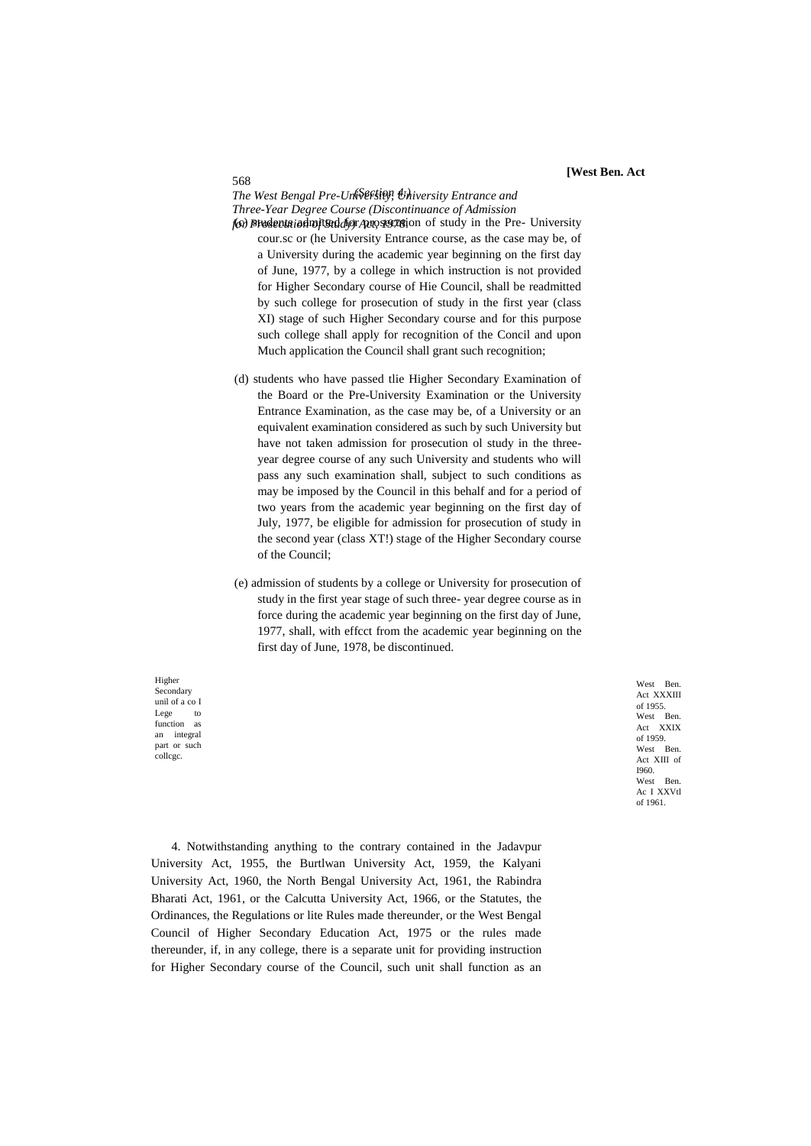#### **[West Ben. Act**

**The West Bengal Pre-University, University Entrance and** *Three-Year Degree Course (Discontinuance of Admission* for *Prosecution of Study Action Action of study* in the Pre- University cour.sc or (he University Entrance course, as the case may be, of a University during the academic year beginning on the first day of June, 1977, by a college in which instruction is not provided

for Higher Secondary course of Hie Council, shall be readmitted by such college for prosecution of study in the first year (class XI) stage of such Higher Secondary course and for this purpose such college shall apply for recognition of the Concil and upon Much application the Council shall grant such recognition;

- (d) students who have passed tlie Higher Secondary Examination of the Board or the Pre-University Examination or the University Entrance Examination, as the case may be, of a University or an equivalent examination considered as such by such University but have not taken admission for prosecution ol study in the threeyear degree course of any such University and students who will pass any such examination shall, subject to such conditions as may be imposed by the Council in this behalf and for a period of two years from the academic year beginning on the first day of July, 1977, be eligible for admission for prosecution of study in the second year (class XT!) stage of the Higher Secondary course of the Council;
- (e) admission of students by a college or University for prosecution of study in the first year stage of such three- year degree course as in force during the academic year beginning on the first day of June, 1977, shall, with effcct from the academic year beginning on the first day of June, 1978, be discontinued.

Higher Secondary unil of a co I Lege to function as an integral part or such collcgc.

West Ben. Act XXXIII of 1955. West Ben. Act XXIX of 1959. West Ben. Act XIII of I960. West Ben. Ac I XXVtl of 1961.

4. Notwithstanding anything to the contrary contained in the Jadavpur University Act, 1955, the Burtlwan University Act, 1959, the Kalyani University Act, 1960, the North Bengal University Act, 1961, the Rabindra Bharati Act, 1961, or the Calcutta University Act, 1966, or the Statutes, the Ordinances, the Regulations or lite Rules made thereunder, or the West Bengal Council of Higher Secondary Education Act, 1975 or the rules made thereunder, if, in any college, there is a separate unit for providing instruction for Higher Secondary course of the Council, such unit shall function as an

568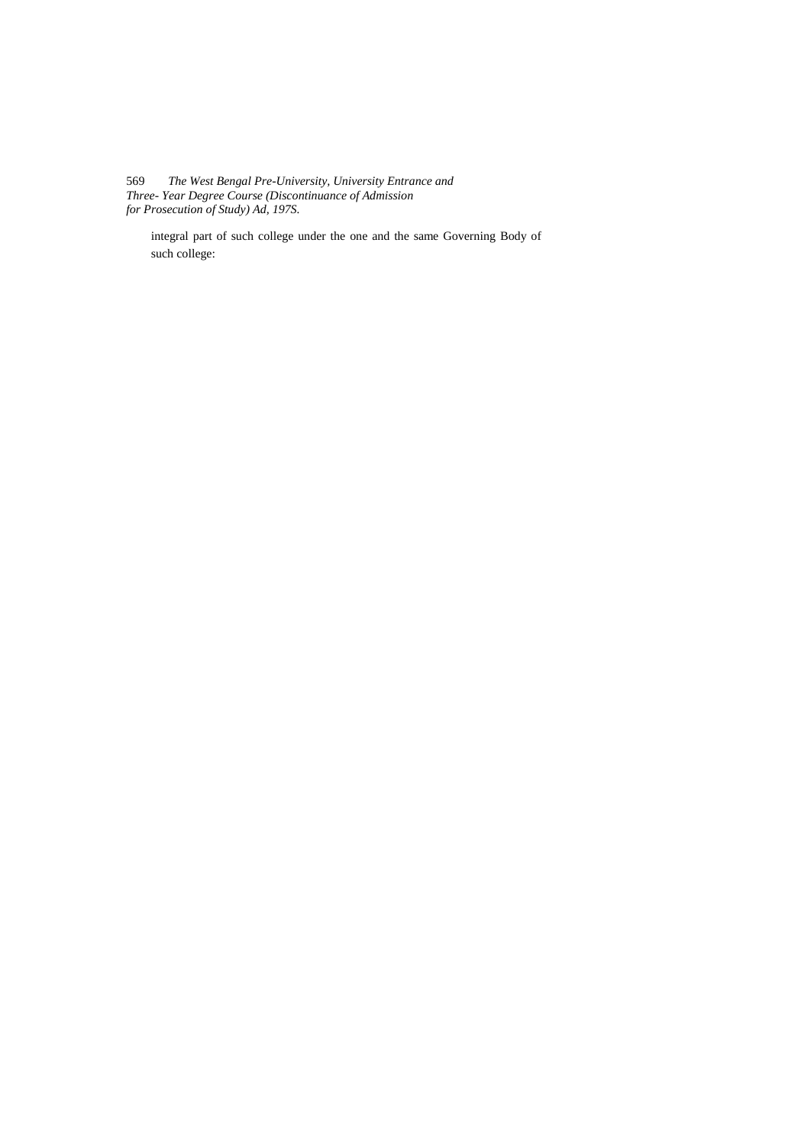569 *The West Bengal Pre-University, University Entrance and Three- Year Degree Course (Discontinuance of Admission for Prosecution of Study) Ad, 197S.*

integral part of such college under the one and the same Governing Body of such college: